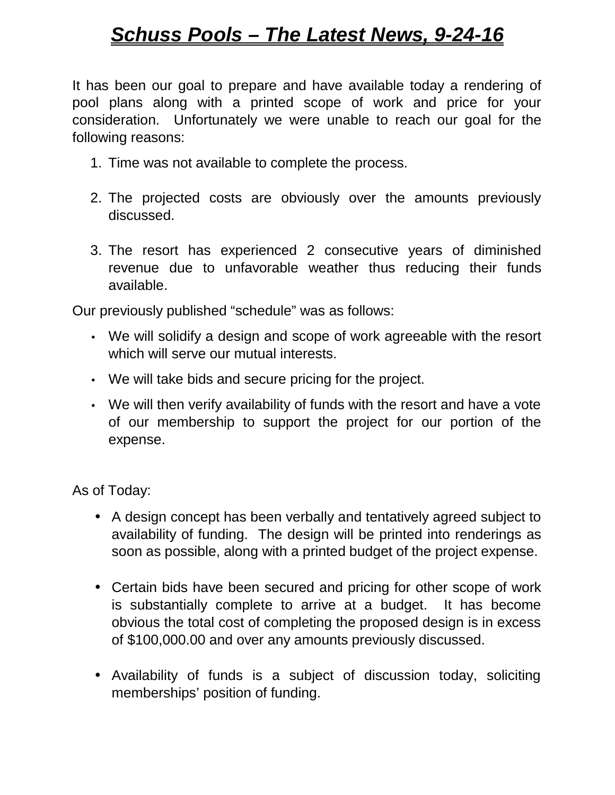## *Schuss Pools – The Latest News, 9-24-16*

It has been our goal to prepare and have available today a rendering of pool plans along with a printed scope of work and price for your consideration. Unfortunately we were unable to reach our goal for the following reasons:

- 1. Time was not available to complete the process.
- 2. The projected costs are obviously over the amounts previously discussed.
- 3. The resort has experienced 2 consecutive years of diminished revenue due to unfavorable weather thus reducing their funds available.

Our previously published "schedule" was as follows:

- We will solidify a design and scope of work agreeable with the resort which will serve our mutual interests.
- We will take bids and secure pricing for the project.
- We will then verify availability of funds with the resort and have a vote of our membership to support the project for our portion of the expense.

As of Today:

- A design concept has been verbally and tentatively agreed subject to availability of funding. The design will be printed into renderings as soon as possible, along with a printed budget of the project expense.
- Certain bids have been secured and pricing for other scope of work is substantially complete to arrive at a budget. It has become obvious the total cost of completing the proposed design is in excess of \$100,000.00 and over any amounts previously discussed.
- Availability of funds is a subject of discussion today, soliciting memberships' position of funding.